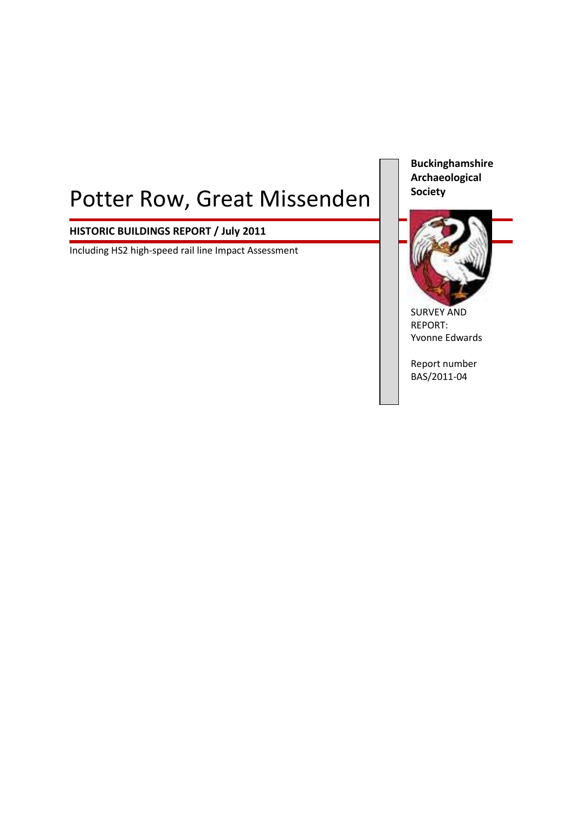# Potter Row, Great Missenden

# **HISTORIC BUILDINGS REPORT / July 2011**

Including HS2 high-speed rail line Impact Assessment

**Buckinghamshire Archaeological Society**



SURVEY AND REPORT: Yvonne Edwards

Report number BAS/2011-04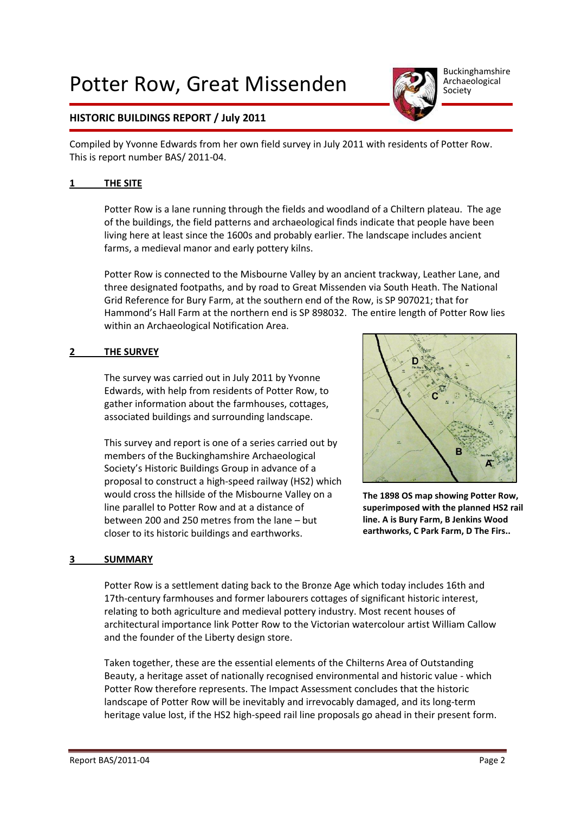# Potter Row, Great Missenden



Buckinghamshire Archaeological Society

# **HISTORIC BUILDINGS REPORT / July 2011**

Compiled by Yvonne Edwards from her own field survey in July 2011 with residents of Potter Row. This is report number BAS/ 2011-04.

# **1 THE SITE**

Potter Row is a lane running through the fields and woodland of a Chiltern plateau. The age of the buildings, the field patterns and archaeological finds indicate that people have been living here at least since the 1600s and probably earlier. The landscape includes ancient farms, a medieval manor and early pottery kilns.

Potter Row is connected to the Misbourne Valley by an ancient trackway, Leather Lane, and three designated footpaths, and by road to Great Missenden via South Heath. The National Grid Reference for Bury Farm, at the southern end of the Row, is SP 907021; that for Hammond's Hall Farm at the northern end is SP 898032. The entire length of Potter Row lies within an Archaeological Notification Area.

# **2 THE SURVEY**

The survey was carried out in July 2011 by Yvonne Edwards, with help from residents of Potter Row, to gather information about the farmhouses, cottages, associated buildings and surrounding landscape.

This survey and report is one of a series carried out by members of the Buckinghamshire Archaeological Society's Historic Buildings Group in advance of a proposal to construct a high-speed railway (HS2) which would cross the hillside of the Misbourne Valley on a line parallel to Potter Row and at a distance of between 200 and 250 metres from the lane – but closer to its historic buildings and earthworks.



**The 1898 OS map showing Potter Row, superimposed with the planned HS2 rail line. A is Bury Farm, B Jenkins Wood earthworks, C Park Farm, D The Firs..**

# **3 SUMMARY**

Potter Row is a settlement dating back to the Bronze Age which today includes 16th and 17th-century farmhouses and former labourers cottages of significant historic interest, relating to both agriculture and medieval pottery industry. Most recent houses of architectural importance link Potter Row to the Victorian watercolour artist William Callow and the founder of the Liberty design store.

Taken together, these are the essential elements of the Chilterns Area of Outstanding Beauty, a heritage asset of nationally recognised environmental and historic value - which Potter Row therefore represents. The Impact Assessment concludes that the historic landscape of Potter Row will be inevitably and irrevocably damaged, and its long-term heritage value lost, if the HS2 high-speed rail line proposals go ahead in their present form.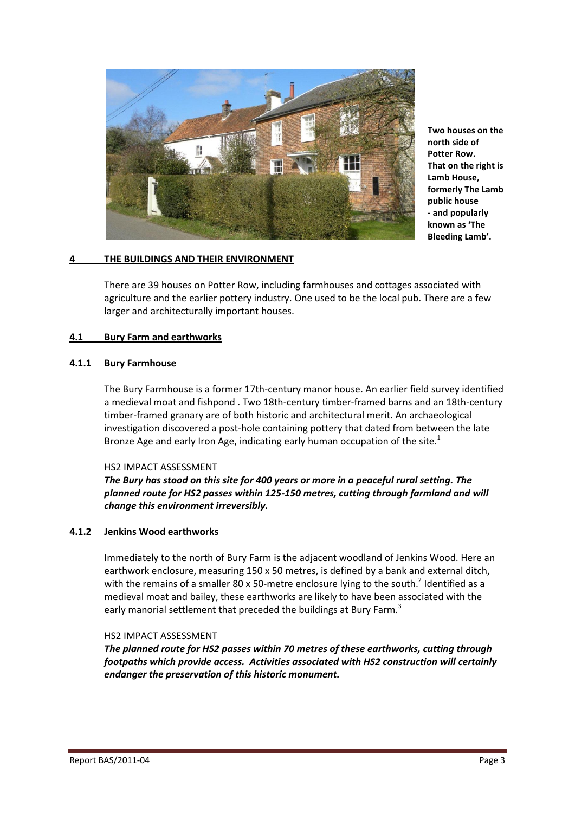

**Two houses on the north side of Potter Row. That on the right is Lamb House, formerly The Lamb public house - and popularly known as 'The Bleeding Lamb'.**

#### **4 THE BUILDINGS AND THEIR ENVIRONMENT**

There are 39 houses on Potter Row, including farmhouses and cottages associated with agriculture and the earlier pottery industry. One used to be the local pub. There are a few larger and architecturally important houses.

#### **4.1 Bury Farm and earthworks**

#### **4.1.1 Bury Farmhouse**

The Bury Farmhouse is a former 17th-century manor house. An earlier field survey identified a medieval moat and fishpond . Two 18th-century timber-framed barns and an 18th-century timber-framed granary are of both historic and architectural merit. An archaeological investigation discovered a post-hole containing pottery that dated from between the late Bronze Age and early Iron Age, indicating early human occupation of the site.<sup>1</sup>

#### HS2 IMPACT ASSESSMENT

*The Bury has stood on this site for 400 years or more in a peaceful rural setting. The planned route for HS2 passes within 125-150 metres, cutting through farmland and will change this environment irreversibly.*

# **4.1.2 Jenkins Wood earthworks**

Immediately to the north of Bury Farm is the adjacent woodland of Jenkins Wood. Here an earthwork enclosure, measuring 150 x 50 metres, is defined by a bank and external ditch, with the remains of a smaller 80 x 50-metre enclosure lying to the south.<sup>2</sup> Identified as a medieval moat and bailey, these earthworks are likely to have been associated with the early manorial settlement that preceded the buildings at Bury Farm.<sup>3</sup>

#### HS2 IMPACT ASSESSMENT

*The planned route for HS2 passes within 70 metres of these earthworks, cutting through footpaths which provide access. Activities associated with HS2 construction will certainly endanger the preservation of this historic monument.*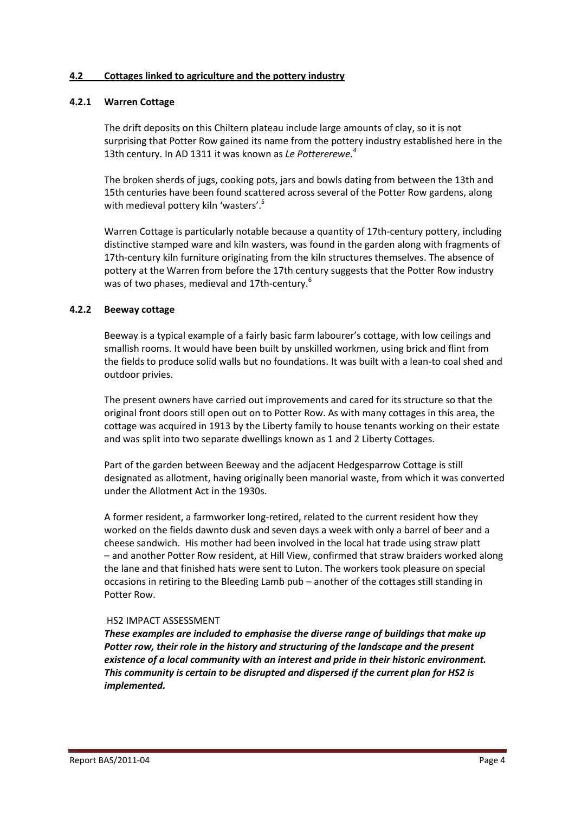# **4.2 Cottages linked to agriculture and the pottery industry**

# **4.2.1 Warren Cottage**

The drift deposits on this Chiltern plateau include large amounts of clay, so it is not surprising that Potter Row gained its name from the pottery industry established here in the 13th century. In AD 1311 it was known as *Le Pottererewe. 4*

The broken sherds of jugs, cooking pots, jars and bowls dating from between the 13th and 15th centuries have been found scattered across several of the Potter Row gardens, along with medieval pottery kiln 'wasters'.<sup>5</sup>

Warren Cottage is particularly notable because a quantity of 17th-century pottery, including distinctive stamped ware and kiln wasters, was found in the garden along with fragments of 17th-century kiln furniture originating from the kiln structures themselves. The absence of pottery at the Warren from before the 17th century suggests that the Potter Row industry was of two phases, medieval and 17th-century.<sup>6</sup>

# **4.2.2 Beeway cottage**

Beeway is a typical example of a fairly basic farm labourer's cottage, with low ceilings and smallish rooms. It would have been built by unskilled workmen, using brick and flint from the fields to produce solid walls but no foundations. It was built with a lean-to coal shed and outdoor privies.

The present owners have carried out improvements and cared for its structure so that the original front doors still open out on to Potter Row. As with many cottages in this area, the cottage was acquired in 1913 by the Liberty family to house tenants working on their estate and was split into two separate dwellings known as 1 and 2 Liberty Cottages.

Part of the garden between Beeway and the adjacent Hedgesparrow Cottage is still designated as allotment, having originally been manorial waste, from which it was converted under the Allotment Act in the 1930s.

A former resident, a farmworker long-retired, related to the current resident how they worked on the fields dawnto dusk and seven days a week with only a barrel of beer and a cheese sandwich. His mother had been involved in the local hat trade using straw platt – and another Potter Row resident, at Hill View, confirmed that straw braiders worked along the lane and that finished hats were sent to Luton. The workers took pleasure on special occasions in retiring to the Bleeding Lamb pub – another of the cottages still standing in Potter Row.

# HS2 IMPACT ASSESSMENT

*These examples are included to emphasise the diverse range of buildings that make up Potter row, their role in the history and structuring of the landscape and the present existence of a local community with an interest and pride in their historic environment. This community is certain to be disrupted and dispersed if the current plan for HS2 is implemented.*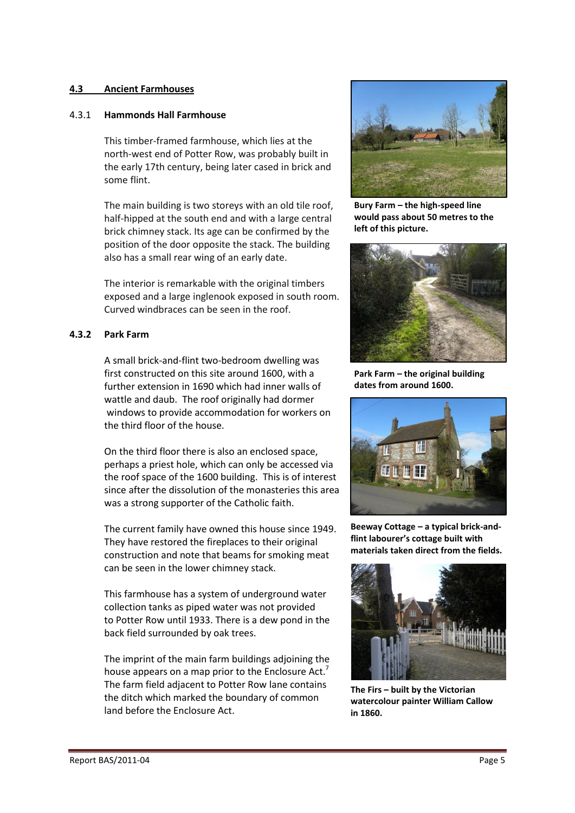# **4.3 Ancient Farmhouses**

#### 4.3.1 **Hammonds Hall Farmhouse**

This timber-framed farmhouse, which lies at the north-west end of Potter Row, was probably built in the early 17th century, being later cased in brick and some flint.

The main building is two storeys with an old tile roof, half-hipped at the south end and with a large central brick chimney stack. Its age can be confirmed by the position of the door opposite the stack. The building also has a small rear wing of an early date.

The interior is remarkable with the original timbers exposed and a large inglenook exposed in south room. Curved windbraces can be seen in the roof.

# **4.3.2 Park Farm**

A small brick-and-flint two-bedroom dwelling was first constructed on this site around 1600, with a further extension in 1690 which had inner walls of wattle and daub. The roof originally had dormer windows to provide accommodation for workers on the third floor of the house.

On the third floor there is also an enclosed space, perhaps a priest hole, which can only be accessed via the roof space of the 1600 building. This is of interest since after the dissolution of the monasteries this area was a strong supporter of the Catholic faith.

The current family have owned this house since 1949. They have restored the fireplaces to their original construction and note that beams for smoking meat can be seen in the lower chimney stack.

This farmhouse has a system of underground water collection tanks as piped water was not provided to Potter Row until 1933. There is a dew pond in the back field surrounded by oak trees.

The imprint of the main farm buildings adjoining the house appears on a map prior to the Enclosure Act.<sup>7</sup> The farm field adjacent to Potter Row lane contains the ditch which marked the boundary of common land before the Enclosure Act.



**Bury Farm – the high-speed line would pass about 50 metres to the left of this picture.**



**Park Farm – the original building dates from around 1600.**



**Beeway Cottage – a typical brick-andflint labourer's cottage built with materials taken direct from the fields.**



**The Firs – built by the Victorian watercolour painter William Callow in 1860.**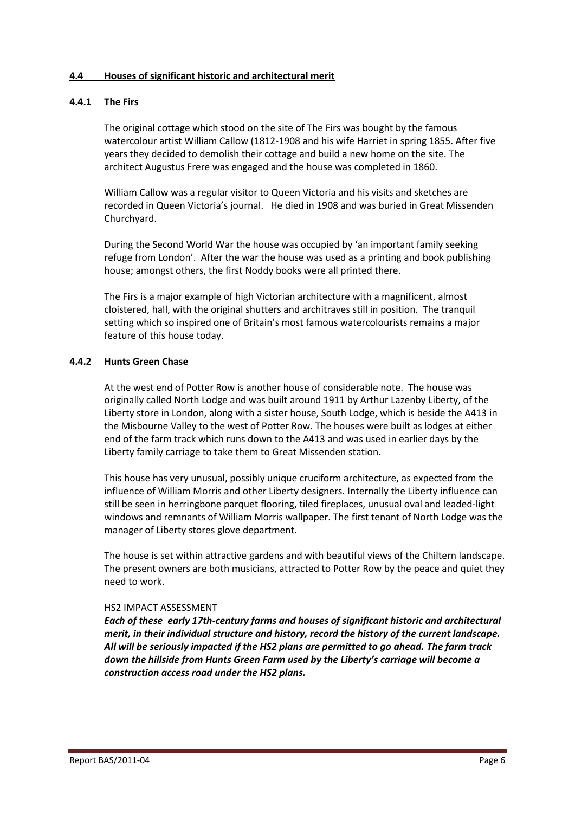# **4.4 Houses of significant historic and architectural merit**

# **4.4.1 The Firs**

The original cottage which stood on the site of The Firs was bought by the famous watercolour artist William Callow (1812-1908 and his wife Harriet in spring 1855. After five years they decided to demolish their cottage and build a new home on the site. The architect Augustus Frere was engaged and the house was completed in 1860.

William Callow was a regular visitor to Queen Victoria and his visits and sketches are recorded in Queen Victoria's journal. He died in 1908 and was buried in Great Missenden Churchyard.

During the Second World War the house was occupied by 'an important family seeking refuge from London'. After the war the house was used as a printing and book publishing house; amongst others, the first Noddy books were all printed there.

The Firs is a major example of high Victorian architecture with a magnificent, almost cloistered, hall, with the original shutters and architraves still in position. The tranquil setting which so inspired one of Britain's most famous watercolourists remains a major feature of this house today.

# **4.4.2 Hunts Green Chase**

At the west end of Potter Row is another house of considerable note. The house was originally called North Lodge and was built around 1911 by Arthur Lazenby Liberty, of the Liberty store in London, along with a sister house, South Lodge, which is beside the A413 in the Misbourne Valley to the west of Potter Row. The houses were built as lodges at either end of the farm track which runs down to the A413 and was used in earlier days by the Liberty family carriage to take them to Great Missenden station.

This house has very unusual, possibly unique cruciform architecture, as expected from the influence of William Morris and other Liberty designers. Internally the Liberty influence can still be seen in herringbone parquet flooring, tiled fireplaces, unusual oval and leaded-light windows and remnants of William Morris wallpaper. The first tenant of North Lodge was the manager of Liberty stores glove department.

The house is set within attractive gardens and with beautiful views of the Chiltern landscape. The present owners are both musicians, attracted to Potter Row by the peace and quiet they need to work.

# HS2 IMPACT ASSESSMENT

*Each of these early 17th-century farms and houses of significant historic and architectural merit, in their individual structure and history, record the history of the current landscape. All will be seriously impacted if the HS2 plans are permitted to go ahead. The farm track down the hillside from Hunts Green Farm used by the Liberty's carriage will become a construction access road under the HS2 plans.*